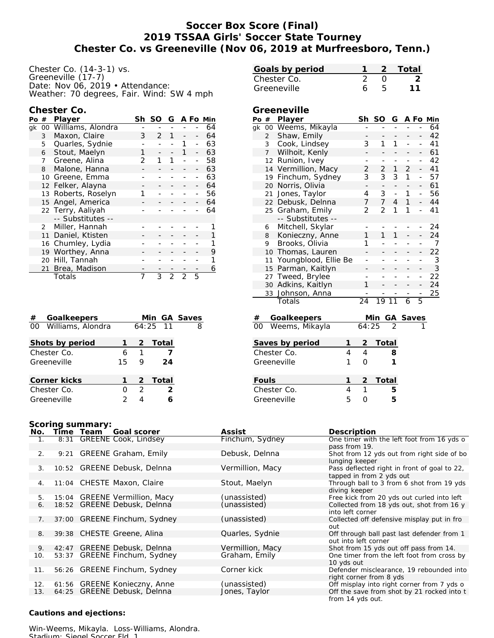## **Soccer Box Score (Final) 2019 TSSAA Girls' Soccer State Tourney Chester Co. vs Greeneville (Nov 06, 2019 at Murfreesboro, Tenn.)**

| Chester Co. (14-3-1) vs.                  |
|-------------------------------------------|
| Greeneville (17-7)                        |
| Date: Nov 06, 2019 · Attendance:          |
| Weather: 70 degrees, Fair. Wind: SW 4 mph |

| Chester Co. |  |
|-------------|--|
|-------------|--|

| Po | #                 | Sh<br>Player      |   | SO | G |   |   | A Fo Min |
|----|-------------------|-------------------|---|----|---|---|---|----------|
| qk | 00                | Williams, Alondra |   |    |   |   |   | 64       |
|    | 3                 | Maxon, Claire     | 3 | 2  | 1 |   |   | 64       |
|    | 5                 | Quarles, Sydnie   |   |    |   |   |   | 63       |
|    | 6                 | Stout, Maelyn     | 1 |    |   | 1 |   | 63       |
|    | 7                 | Greene, Alina     | 2 |    | 1 |   |   | 58       |
|    | 8                 | Malone, Hanna     |   |    |   |   |   | 63       |
|    | 10                | Greene, Emma      |   |    |   |   |   | 63       |
|    | $12 \overline{ }$ | Felker, Alayna    |   |    |   |   |   | 64       |
|    | 13                | Roberts, Roselyn  |   |    |   |   |   | 56       |
|    | 15 <sup>2</sup>   | Angel, America    |   |    |   |   |   | 64       |
|    |                   | 22 Terry, Aaliyah |   |    |   |   |   | 64       |
|    |                   | -- Substitutes -- |   |    |   |   |   |          |
|    | 2                 | Miller, Hannah    |   |    |   |   |   |          |
|    | 11                | Daniel, Ktisten   |   |    |   |   |   |          |
| 16 |                   | Chumley, Lydia    |   |    |   |   |   |          |
|    | 19                | Worthey, Anna     |   |    |   |   |   | 9        |
|    | 20                | Hill, Tannah      |   |    |   |   |   |          |
|    | 21                | Brea, Madison     |   |    |   |   |   | 6        |
|    | Totals            |                   |   | 3  | 2 | 2 | 5 |          |

| Goalkeepers<br>#     |    |               | Min GA Saves  |   |
|----------------------|----|---------------|---------------|---|
| 00 Williams, Alondra |    |               | $64:25$ 11    | 8 |
| Shots by period      |    |               | 2 Total       |   |
| Chester Co.          | 6  | 1             |               |   |
| Greeneville          | 15 | 9             | 24            |   |
| Corner kicks         |    |               | 2 Total       |   |
| Chester Co.          | O  | $\mathcal{P}$ | $\mathcal{P}$ |   |
| Greeneville          |    |               |               |   |
|                      |    |               |               |   |

| Goals by period |  | -2 Total |
|-----------------|--|----------|
| Chester Co.     |  |          |
| Greeneville     |  |          |

#### **Greeneville**

| Po | #               | Player               | Sh | SO            | G  |                |   | A Fo Min |
|----|-----------------|----------------------|----|---------------|----|----------------|---|----------|
| qk |                 | 00 Weems, Mikayla    |    |               |    |                |   | 64       |
|    | $\overline{2}$  | Shaw, Emily          |    |               |    |                |   | 42       |
|    | 3               | Cook, Lindsey        | 3  |               | 1  |                |   | 41       |
|    | $\overline{7}$  | Wilhoit, Kenly       |    |               |    |                |   | 61       |
|    | 12 <sup>2</sup> | Runion, Ivey         |    |               |    |                |   | 42       |
|    |                 | 14 Vermillion, Macy  | 2  | $\mathcal{P}$ | 1  | $\mathfrak{D}$ |   | 41       |
|    | 19              | Finchum, Sydney      | 3  | 3             | 3  | 1              |   | 57       |
|    | 20              | Norris, Olivia       |    |               |    |                |   | 61       |
|    | 21              | Jones, Taylor        | 4  | 3             |    | 1              |   | 56       |
|    | 22              | Debusk, Delnna       | 7  | 7             | 4  | 1              |   | 44       |
|    |                 | 25 Graham, Emily     | 2  | 2             |    | 1              |   | 41       |
|    |                 | -- Substitutes --    |    |               |    |                |   |          |
|    | 6               | Mitchell, Skylar     |    |               |    |                |   | 24       |
|    | 8               | Konieczny, Anne      | 1  |               |    |                |   | 24       |
|    | 9               | Brooks, Olivia       | 1  |               |    |                |   | 7        |
|    | 10              | Thomas, Lauren       |    |               |    |                |   | 22       |
|    | 11              | Youngblood, Ellie Be |    |               |    |                |   | 3        |
|    | 15              | Parman, Kaitlyn      |    |               |    |                |   | 3        |
|    | 27              | Tweed, Brylee        |    |               |    |                |   | 22       |
|    | 30              | Adkins, Kaitlyn      | 1  |               |    |                |   | 24       |
|    |                 | 33 Johnson, Anna     |    |               |    |                |   | 25       |
|    |                 | Totals               | 24 | 19            | 11 | 6              | 5 |          |

| Goalkeepers<br>#  |   |   | Min GA Saves |  |
|-------------------|---|---|--------------|--|
| 00 Weems, Mikayla |   |   | $64:25$ 2    |  |
| Saves by period   |   | 2 | Total        |  |
| Chester Co.       |   |   |              |  |
| Greeneville       |   | ∩ |              |  |
|                   |   |   |              |  |
| Fouls             |   |   | 2 Total      |  |
| Chester Co.       | 4 |   | 5            |  |
| Greeneville       | 5 |   | 5            |  |

|  | Scoring summary: |
|--|------------------|
|--|------------------|

| No. |       | Time Team<br>Goal scorer       |  |
|-----|-------|--------------------------------|--|
| 1.  | 8:31  | <b>GREENE Cook, Lindsey</b>    |  |
|     |       |                                |  |
| 2.  | 9:21  | <b>GREENE Graham, Emily</b>    |  |
|     |       |                                |  |
| 3.  |       | 10:52 GREENE Debusk, Delnna    |  |
|     |       |                                |  |
| 4.  |       | 11:04 CHESTE Maxon, Claire     |  |
|     |       |                                |  |
| 5.  | 15:04 | <b>GREENE Vermillion, Macy</b> |  |
| 6.  | 18:52 | <b>GREENE Debusk, Delnna</b>   |  |
|     |       |                                |  |
| 7.  | 37:00 | <b>GREENE Finchum, Sydney</b>  |  |
|     |       |                                |  |
| 8.  | 39:38 | CHESTE Greene, Alina           |  |
|     |       |                                |  |
| 9.  | 42:47 | <b>GREENE Debusk, Delnna</b>   |  |
| 10. | 53:37 | <b>GREENE Finchum, Sydney</b>  |  |
|     |       |                                |  |
| 11. | 56:26 | <b>GREENE Finchum, Sydney</b>  |  |
|     |       |                                |  |
| 12. | 61:56 | <b>GREENE Konieczny, Anne</b>  |  |
| 13. | 64:25 | <b>GREENE Debusk, Delnna</b>   |  |
|     |       |                                |  |

**Nasist Description**<br> **Finchum, Sydney** One timer with One timer with the left foot from 16 yds o pass from 19. 2. 9:21 GREENE Graham, Emily Debusk, Delnna Shot from 12 yds out from right side of bo lunging keeper Vermillion, Macy Pass deflected right in front of goal to 22, tapped in from 2 yds out Stout, Maelyn Through ball to 3 from 6 shot from 19 yds diving keeper (unassisted) Free kick from 20 yds out curled into left<br>(unassisted) Collected from 18 yds out, shot from 16 y 6. 18:52 Collected from 18 yds out, shot from 16 y into left corner The correction control of the energy (unassisted) collected off defensive misplay put in fro out Quarles, Sydnie **Off through ball past last defender from 1** out into left corner Vermillion, Macy Shot from 15 yds out off pass from 14.<br>Graham, Emily One timer from the left foot from cross One timer from the left foot from cross by 10 yds out Corner kick **EXECOREGREENE FINDER** Defender misclearance, 19 rebounded into right corner from 8 yds (unassisted) off misplay into right corner from 7 yds off misplay into right corner from 7 yds off the save from shot by 21 rocked into the save from shot by 21 rocked into the save from shot by 21 rocked into the save fro Off the save from shot by 21 rocked into t from 14 yds out.

**Cautions and ejections:**

Win-Weems, Mikayla. Loss-Williams, Alondra. Stadium: Siegel Soccer Fld. 1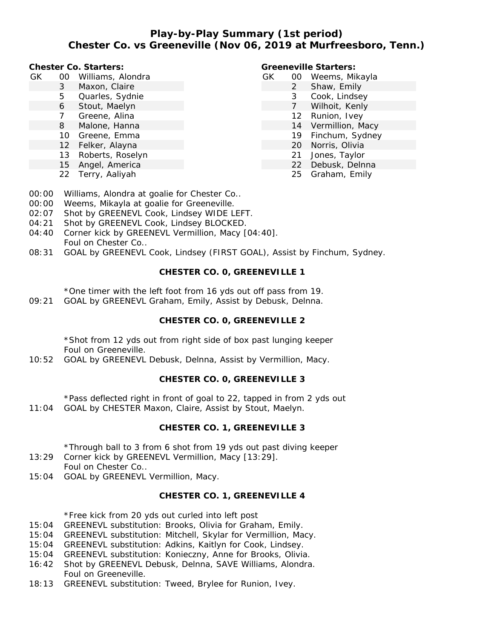### **Play-by-Play Summary (1st period) Chester Co. vs Greeneville (Nov 06, 2019 at Murfreesboro, Tenn.)**

**Chester Co. Starters:**

- GK 00 Williams, Alondra
	- 3 Maxon, Claire
	- 5 Quarles, Sydnie
	- 6 Stout, Maelyn
	- 7 Greene, Alina
	- 8 Malone, Hanna
	- 10 Greene, Emma
	- 12 Felker, Alayna
	- 13 Roberts, Roselyn
	- 15 Angel, America
	- 22 Terry, Aaliyah

**Greeneville Starters:**

- GK 00 Weems, Mikayla
	- 2 Shaw, Emily
		- 3 Cook, Lindsey
		- 7 Wilhoit, Kenly
		- 12 Runion, Ivey
		- 14 Vermillion, Macy
		- 19 Finchum, Sydney
		- 20 Norris, Olivia
		- 21 Jones, Taylor
		- 22 Debusk, Delnna
		- 25 Graham, Emily
- 00:00 Williams, Alondra at goalie for Chester Co..
- 00:00 Weems, Mikayla at goalie for Greeneville.
- 02:07 Shot by GREENEVL Cook, Lindsey WIDE LEFT.
- 04:21 Shot by GREENEVL Cook, Lindsey BLOCKED.
- 04:40 Corner kick by GREENEVL Vermillion, Macy [04:40]. Foul on Chester Co..
- 08:31 GOAL by GREENEVL Cook, Lindsey (FIRST GOAL), Assist by Finchum, Sydney.

## **CHESTER CO. 0, GREENEVILLE 1**

\*One timer with the left foot from 16 yds out off pass from 19.

09:21 GOAL by GREENEVL Graham, Emily, Assist by Debusk, Delnna.

## **CHESTER CO. 0, GREENEVILLE 2**

\*Shot from 12 yds out from right side of box past lunging keeper Foul on Greeneville.

10:52 GOAL by GREENEVL Debusk, Delnna, Assist by Vermillion, Macy.

# **CHESTER CO. 0, GREENEVILLE 3**

\*Pass deflected right in front of goal to 22, tapped in from 2 yds out 11:04 GOAL by CHESTER Maxon, Claire, Assist by Stout, Maelyn.

# **CHESTER CO. 1, GREENEVILLE 3**

\*Through ball to 3 from 6 shot from 19 yds out past diving keeper

- 13:29 Corner kick by GREENEVL Vermillion, Macy [13:29]. Foul on Chester Co..
- 15:04 GOAL by GREENEVL Vermillion, Macy.

# **CHESTER CO. 1, GREENEVILLE 4**

\*Free kick from 20 yds out curled into left post

- 15:04 GREENEVL substitution: Brooks, Olivia for Graham, Emily.
- 15:04 GREENEVL substitution: Mitchell, Skylar for Vermillion, Macy.
- 15:04 GREENEVL substitution: Adkins, Kaitlyn for Cook, Lindsey.
- 15:04 GREENEVL substitution: Konieczny, Anne for Brooks, Olivia.
- 16:42 Shot by GREENEVL Debusk, Delnna, SAVE Williams, Alondra. Foul on Greeneville.
- 18:13 GREENEVL substitution: Tweed, Brylee for Runion, Ivey.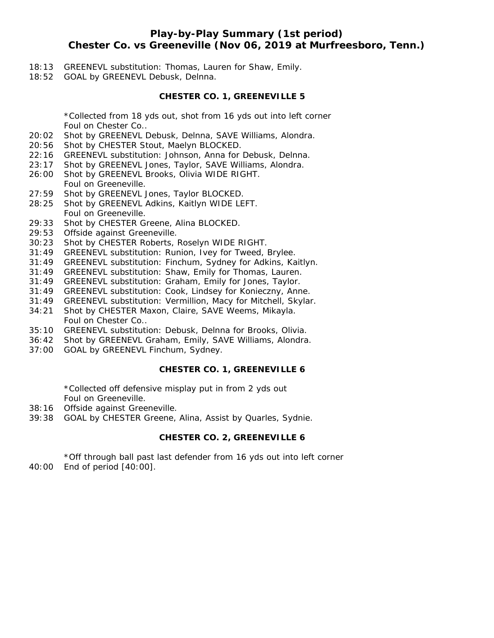## **Play-by-Play Summary (1st period) Chester Co. vs Greeneville (Nov 06, 2019 at Murfreesboro, Tenn.)**

- 18:13 GREENEVL substitution: Thomas, Lauren for Shaw, Emily.
- 18:52 GOAL by GREENEVL Debusk, Delnna.

#### **CHESTER CO. 1, GREENEVILLE 5**

\*Collected from 18 yds out, shot from 16 yds out into left corner Foul on Chester Co..

- 20:02 Shot by GREENEVL Debusk, Delnna, SAVE Williams, Alondra.
- 20:56 Shot by CHESTER Stout, Maelyn BLOCKED.
- 22:16 GREENEVL substitution: Johnson, Anna for Debusk, Delnna.
- 23:17 Shot by GREENEVL Jones, Taylor, SAVE Williams, Alondra.
- 26:00 Shot by GREENEVL Brooks, Olivia WIDE RIGHT. Foul on Greeneville.
- 27:59 Shot by GREENEVL Jones, Taylor BLOCKED.
- 28:25 Shot by GREENEVL Adkins, Kaitlyn WIDE LEFT. Foul on Greeneville.
- 29:33 Shot by CHESTER Greene, Alina BLOCKED.
- 29:53 Offside against Greeneville.
- 30:23 Shot by CHESTER Roberts, Roselyn WIDE RIGHT.
- 31:49 GREENEVL substitution: Runion, Ivey for Tweed, Brylee.
- 31:49 GREENEVL substitution: Finchum, Sydney for Adkins, Kaitlyn.
- 31:49 GREENEVL substitution: Shaw, Emily for Thomas, Lauren.
- 31:49 GREENEVL substitution: Graham, Emily for Jones, Taylor.
- 31:49 GREENEVL substitution: Cook, Lindsey for Konieczny, Anne.
- 31:49 GREENEVL substitution: Vermillion, Macy for Mitchell, Skylar.
- 34:21 Shot by CHESTER Maxon, Claire, SAVE Weems, Mikayla. Foul on Chester Co..
- 35:10 GREENEVL substitution: Debusk, Delnna for Brooks, Olivia.
- 36:42 Shot by GREENEVL Graham, Emily, SAVE Williams, Alondra.
- 37:00 GOAL by GREENEVL Finchum, Sydney.

### **CHESTER CO. 1, GREENEVILLE 6**

\*Collected off defensive misplay put in from 2 yds out Foul on Greeneville.

- 38:16 Offside against Greeneville.
- 39:38 GOAL by CHESTER Greene, Alina, Assist by Quarles, Sydnie.

#### **CHESTER CO. 2, GREENEVILLE 6**

\*Off through ball past last defender from 16 yds out into left corner 40:00 End of period [40:00].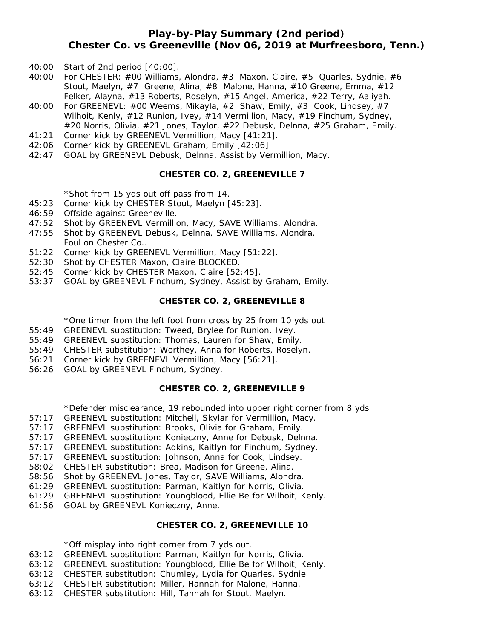### **Play-by-Play Summary (2nd period) Chester Co. vs Greeneville (Nov 06, 2019 at Murfreesboro, Tenn.)**

- 40:00 Start of 2nd period [40:00].
- 40:00 For CHESTER: #00 Williams, Alondra, #3 Maxon, Claire, #5 Quarles, Sydnie, #6 Stout, Maelyn, #7 Greene, Alina, #8 Malone, Hanna, #10 Greene, Emma, #12 Felker, Alayna, #13 Roberts, Roselyn, #15 Angel, America, #22 Terry, Aaliyah.
- 40:00 For GREENEVL: #00 Weems, Mikayla, #2 Shaw, Emily, #3 Cook, Lindsey, #7 Wilhoit, Kenly, #12 Runion, Ivey, #14 Vermillion, Macy, #19 Finchum, Sydney, #20 Norris, Olivia, #21 Jones, Taylor, #22 Debusk, Delnna, #25 Graham, Emily.
- 41:21 Corner kick by GREENEVL Vermillion, Macy [41:21].
- 42:06 Corner kick by GREENEVL Graham, Emily [42:06].
- 42:47 GOAL by GREENEVL Debusk, Delnna, Assist by Vermillion, Macy.

#### **CHESTER CO. 2, GREENEVILLE 7**

\*Shot from 15 yds out off pass from 14.

- 45:23 Corner kick by CHESTER Stout, Maelyn [45:23].
- 46:59 Offside against Greeneville.
- 47:52 Shot by GREENEVL Vermillion, Macy, SAVE Williams, Alondra.
- 47:55 Shot by GREENEVL Debusk, Delnna, SAVE Williams, Alondra. Foul on Chester Co..
- 51:22 Corner kick by GREENEVL Vermillion, Macy [51:22].
- 52:30 Shot by CHESTER Maxon, Claire BLOCKED.
- 52:45 Corner kick by CHESTER Maxon, Claire [52:45].
- 53:37 GOAL by GREENEVL Finchum, Sydney, Assist by Graham, Emily.

#### **CHESTER CO. 2, GREENEVILLE 8**

\*One timer from the left foot from cross by 25 from 10 yds out

- 55:49 GREENEVL substitution: Tweed, Brylee for Runion, Ivey.
- 55:49 GREENEVL substitution: Thomas, Lauren for Shaw, Emily.
- 55:49 CHESTER substitution: Worthey, Anna for Roberts, Roselyn.
- 56:21 Corner kick by GREENEVL Vermillion, Macy [56:21].
- 56:26 GOAL by GREENEVL Finchum, Sydney.

#### **CHESTER CO. 2, GREENEVILLE 9**

\*Defender misclearance, 19 rebounded into upper right corner from 8 yds

- 57:17 GREENEVL substitution: Mitchell, Skylar for Vermillion, Macy.
- 57:17 GREENEVL substitution: Brooks, Olivia for Graham, Emily.
- 57:17 GREENEVL substitution: Konieczny, Anne for Debusk, Delnna.
- 57:17 GREENEVL substitution: Adkins, Kaitlyn for Finchum, Sydney.
- 57:17 GREENEVL substitution: Johnson, Anna for Cook, Lindsey.
- 58:02 CHESTER substitution: Brea, Madison for Greene, Alina.
- 58:56 Shot by GREENEVL Jones, Taylor, SAVE Williams, Alondra.
- 61:29 GREENEVL substitution: Parman, Kaitlyn for Norris, Olivia.
- 61:29 GREENEVL substitution: Youngblood, Ellie Be for Wilhoit, Kenly.
- 61:56 GOAL by GREENEVL Konieczny, Anne.

### **CHESTER CO. 2, GREENEVILLE 10**

\*Off misplay into right corner from 7 yds out.

- 63:12 GREENEVL substitution: Parman, Kaitlyn for Norris, Olivia.
- 63:12 GREENEVL substitution: Youngblood, Ellie Be for Wilhoit, Kenly.
- 63:12 CHESTER substitution: Chumley, Lydia for Quarles, Sydnie.
- 63:12 CHESTER substitution: Miller, Hannah for Malone, Hanna.
- 63:12 CHESTER substitution: Hill, Tannah for Stout, Maelyn.